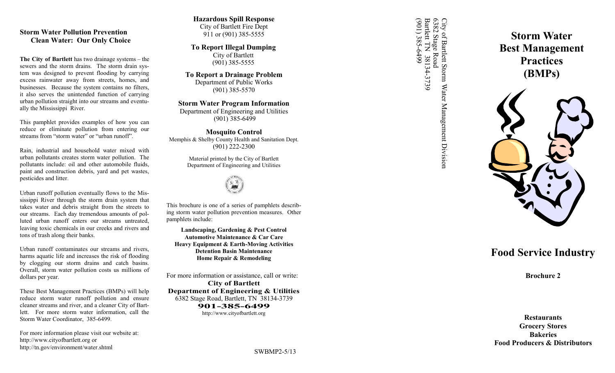## **Storm Water Pollution Prevention Clean Water: Our Only Choice**

**The City of Bartlett** has two drainage systems – the sewers and the storm drains. The storm drain system was designed to prevent flooding by carrying excess rainwater away from streets, homes, and businesses. Because the system contains no filters, it also serves the unintended function of carrying urban pollution straight into our streams and eventually the Mississippi River.

This pamphlet provides examples of how you can reduce or eliminate pollution from entering our streams from "storm water" or "urban runoff".

Rain, industrial and household water mixed with urban pollutants creates storm water pollution. The pollutants include: oil and other automobile fluids, paint and construction debris, yard and pet wastes, pesticides and litter.

Urban runoff pollution eventually flows to the Mississippi River through the storm drain system that takes water and debris straight from the streets to our streams. Each day tremendous amounts of polluted urban runoff enters our streams untreated, leaving toxic chemicals in our creeks and rivers and tons of trash along their banks.

Urban runoff contaminates our streams and rivers, harms aquatic life and increases the risk of flooding by clogging our storm drains and catch basins. Overall, storm water pollution costs us millions of dollars per year.

These Best Management Practices (BMPs) will help reduce storm water runoff pollution and ensure cleaner streams and river, and a cleaner City of Bartlett. For more storm water information, call the Storm Water Coordinator, 385 -6499.

For more information please visit our website at: http://www.cityofbartlett.org or http://tn.gov/environment/water.shtml

# **Hazardous Spill Response** City of Bartlett Fire Dept

911 or (901) 385 -5555

**To Report Illegal Dumping** City of Bartlett (901) 385 -5555

**To Report a Drainage Problem** Department of Public Works (901) 385 -5570

## **Storm Water Program Information**

Department of Engineering and Utilities (901) 385 -6499

**Mosquito Control** Memphis & Shelby County Health and Sanitation Dept. (901) 222 -2300

> Material printed by the City of Bartlett Department of Engineering and Utilities



This brochure is one of a series of pamphlets describing storm water pollution prevention measures. Other pamphlets include:

**Landscaping, Gardening & Pest Control Automotive Maintenance & Car Care Heavy Equipment & Earth -Moving Activities Detention Basin Maintenance Home Repair & Remodeling** 

For more information or assistance, call or write: **City of Bartlett Department of Engineering & Utilities** 6382 Stage Road, Bartlett, TN 38134 -3739 **901 -385 -6499** http://www.cityofbartlett.org

6382 Stage Road<br>Bartlett TN 38134-3739<br>(901) 385-6499 (901) 385-6499 Bartlett TN 38134 City of Barlett Storm Water Management Division<br>6382 Stage Road<br>Bartlett TN 38134-3739 6382 Stage Road City of Bartlett Storm Water Management Division

# **Storm Water Best Management Practices (BMPs)**



# **Food Service Industry**

**Brochure 2**

**Restaurants Grocery Stores Bakeries Food Producers & Distributors**